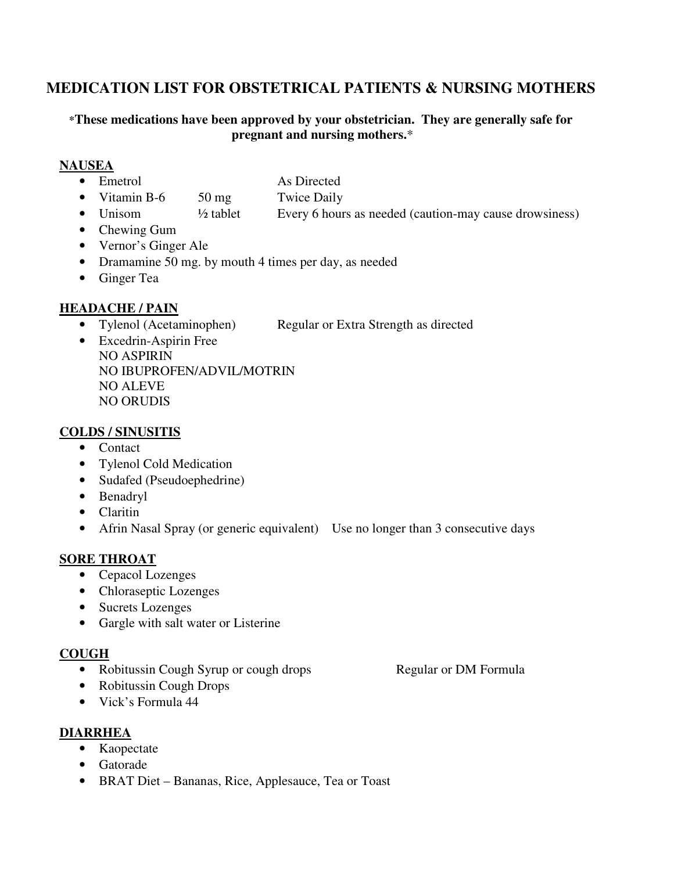# **MEDICATION LIST FOR OBSTETRICAL PATIENTS & NURSING MOTHERS**

#### **\*These medications have been approved by your obstetrician. They are generally safe for pregnant and nursing mothers.**\*

#### **NAUSEA**

- Emetrol As Directed
	-
- Vitamin B-6 50 mg Twice Daily
- Unisom  $\frac{1}{2}$  tablet Every 6 hours as needed (caution-may cause drowsiness)
- Chewing Gum
- Vernor's Ginger Ale
- Dramamine 50 mg. by mouth 4 times per day, as needed
- Ginger Tea

### **HEADACHE / PAIN**

- Tylenol (Acetaminophen) Regular or Extra Strength as directed
- Excedrin-Aspirin Free NO ASPIRIN NO IBUPROFEN/ADVIL/MOTRIN NO ALEVE NO ORUDIS

#### **COLDS / SINUSITIS**

- Contact
- Tylenol Cold Medication
- Sudafed (Pseudoephedrine)
- Benadryl
- Claritin
- Afrin Nasal Spray (or generic equivalent) Use no longer than 3 consecutive days

#### **SORE THROAT**

- Cepacol Lozenges
- Chloraseptic Lozenges
- Sucrets Lozenges
- Gargle with salt water or Listerine

#### **COUGH**

• Robitussin Cough Syrup or cough drops Regular or DM Formula

- Robitussin Cough Drops
- Vick's Formula 44

#### **DIARRHEA**

- Kaopectate
- Gatorade
- BRAT Diet Bananas, Rice, Applesauce, Tea or Toast